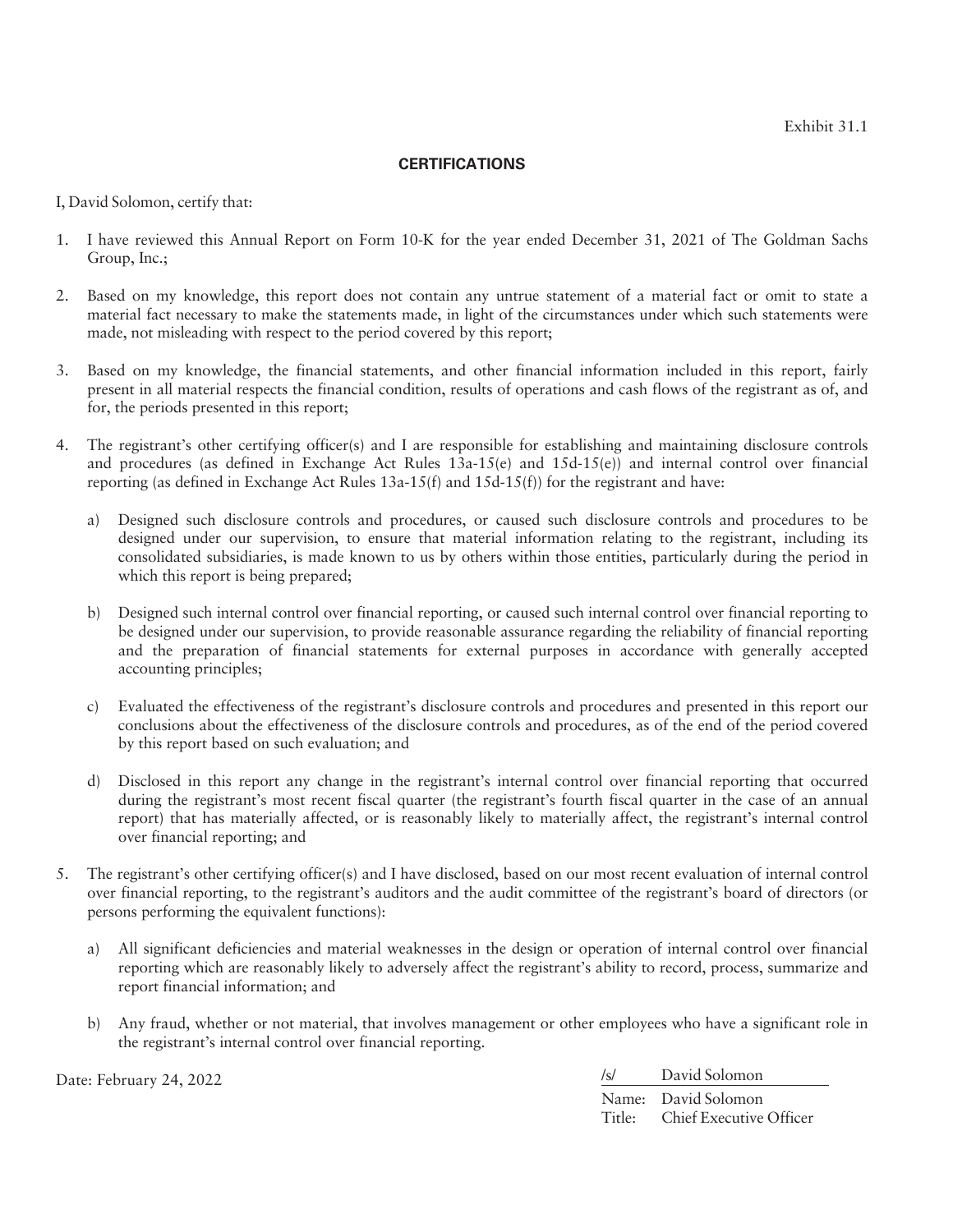## **CERTIFICATIONS**

I, David Solomon, certify that:

- 1. I have reviewed this Annual Report on Form 10-K for the year ended December 31, 2021 of The Goldman Sachs Group, Inc.;
- 2. Based on my knowledge, this report does not contain any untrue statement of a material fact or omit to state a material fact necessary to make the statements made, in light of the circumstances under which such statements were made, not misleading with respect to the period covered by this report;
- 3. Based on my knowledge, the financial statements, and other financial information included in this report, fairly present in all material respects the financial condition, results of operations and cash flows of the registrant as of, and for, the periods presented in this report;
- 4. The registrant's other certifying officer(s) and I are responsible for establishing and maintaining disclosure controls and procedures (as defined in Exchange Act Rules 13a-15(e) and 15d-15(e)) and internal control over financial reporting (as defined in Exchange Act Rules  $13a-15(f)$  and  $15d-15(f)$ ) for the registrant and have:
	- a) Designed such disclosure controls and procedures, or caused such disclosure controls and procedures to be designed under our supervision, to ensure that material information relating to the registrant, including its consolidated subsidiaries, is made known to us by others within those entities, particularly during the period in which this report is being prepared;
	- b) Designed such internal control over financial reporting, or caused such internal control over financial reporting to be designed under our supervision, to provide reasonable assurance regarding the reliability of financial reporting and the preparation of financial statements for external purposes in accordance with generally accepted accounting principles;
	- c) Evaluated the effectiveness of the registrant's disclosure controls and procedures and presented in this report our conclusions about the effectiveness of the disclosure controls and procedures, as of the end of the period covered by this report based on such evaluation; and
	- d) Disclosed in this report any change in the registrant's internal control over financial reporting that occurred during the registrant's most recent fiscal quarter (the registrant's fourth fiscal quarter in the case of an annual report) that has materially affected, or is reasonably likely to materially affect, the registrant's internal control over financial reporting; and
- 5. The registrant's other certifying officer(s) and I have disclosed, based on our most recent evaluation of internal control over financial reporting, to the registrant's auditors and the audit committee of the registrant's board of directors (or persons performing the equivalent functions):
	- a) All significant deficiencies and material weaknesses in the design or operation of internal control over financial reporting which are reasonably likely to adversely affect the registrant's ability to record, process, summarize and report financial information; and
	- b) Any fraud, whether or not material, that involves management or other employees who have a significant role in the registrant's internal control over financial reporting.

Date: February 24, 2022 /s/ David Solomon

Name: David Solomon Title: Chief Executive Officer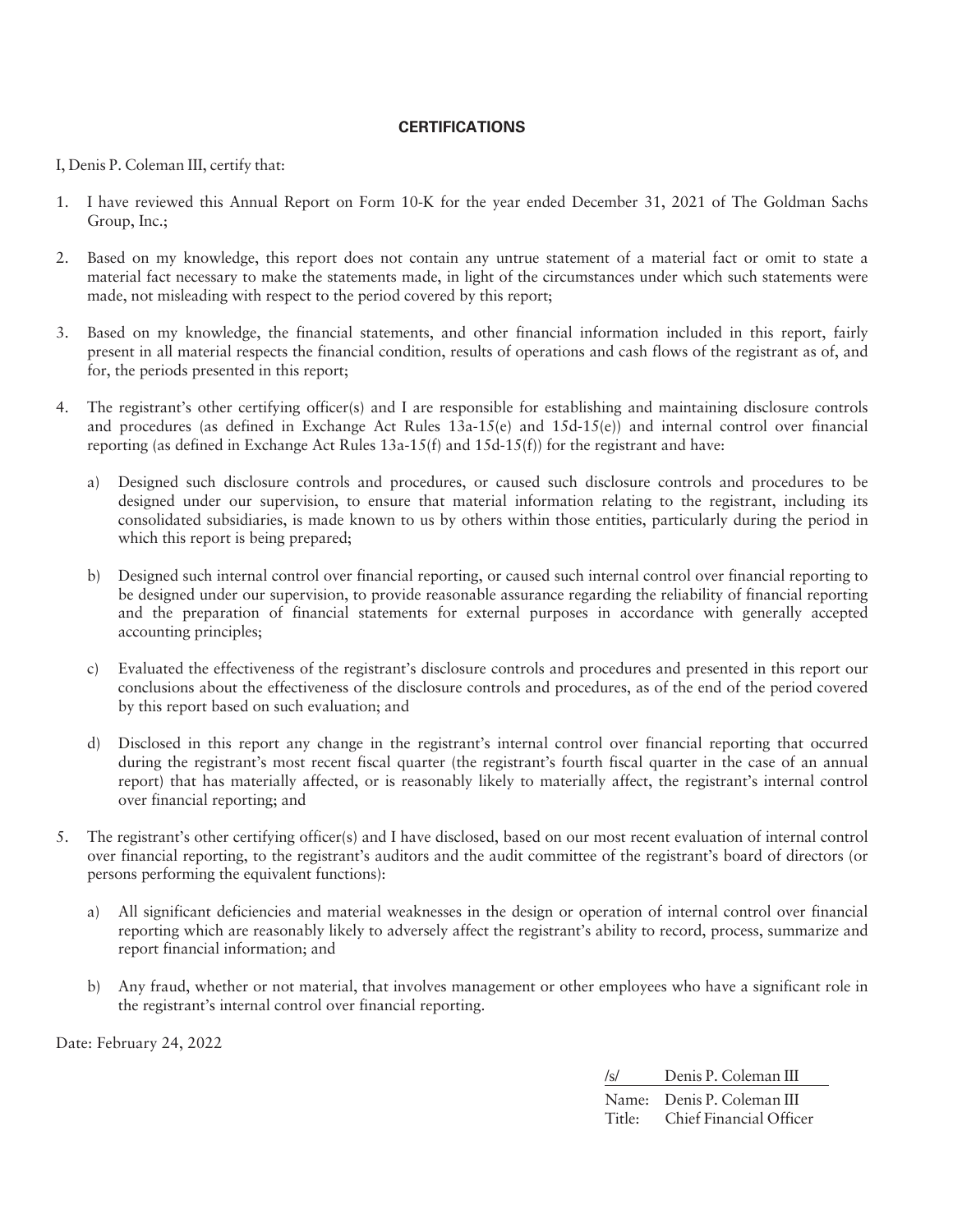## **CERTIFICATIONS**

I, Denis P. Coleman III, certify that:

- 1. I have reviewed this Annual Report on Form 10-K for the year ended December 31, 2021 of The Goldman Sachs Group, Inc.;
- 2. Based on my knowledge, this report does not contain any untrue statement of a material fact or omit to state a material fact necessary to make the statements made, in light of the circumstances under which such statements were made, not misleading with respect to the period covered by this report;
- 3. Based on my knowledge, the financial statements, and other financial information included in this report, fairly present in all material respects the financial condition, results of operations and cash flows of the registrant as of, and for, the periods presented in this report;
- 4. The registrant's other certifying officer(s) and I are responsible for establishing and maintaining disclosure controls and procedures (as defined in Exchange Act Rules 13a-15(e) and 15d-15(e)) and internal control over financial reporting (as defined in Exchange Act Rules 13a-15(f) and 15d-15(f)) for the registrant and have:
	- a) Designed such disclosure controls and procedures, or caused such disclosure controls and procedures to be designed under our supervision, to ensure that material information relating to the registrant, including its consolidated subsidiaries, is made known to us by others within those entities, particularly during the period in which this report is being prepared;
	- b) Designed such internal control over financial reporting, or caused such internal control over financial reporting to be designed under our supervision, to provide reasonable assurance regarding the reliability of financial reporting and the preparation of financial statements for external purposes in accordance with generally accepted accounting principles;
	- c) Evaluated the effectiveness of the registrant's disclosure controls and procedures and presented in this report our conclusions about the effectiveness of the disclosure controls and procedures, as of the end of the period covered by this report based on such evaluation; and
	- d) Disclosed in this report any change in the registrant's internal control over financial reporting that occurred during the registrant's most recent fiscal quarter (the registrant's fourth fiscal quarter in the case of an annual report) that has materially affected, or is reasonably likely to materially affect, the registrant's internal control over financial reporting; and
- 5. The registrant's other certifying officer(s) and I have disclosed, based on our most recent evaluation of internal control over financial reporting, to the registrant's auditors and the audit committee of the registrant's board of directors (or persons performing the equivalent functions):
	- a) All significant deficiencies and material weaknesses in the design or operation of internal control over financial reporting which are reasonably likely to adversely affect the registrant's ability to record, process, summarize and report financial information; and
	- b) Any fraud, whether or not material, that involves management or other employees who have a significant role in the registrant's internal control over financial reporting.

Date: February 24, 2022

/s/ Denis P. Coleman III Name: Denis P. Coleman III Title: Chief Financial Officer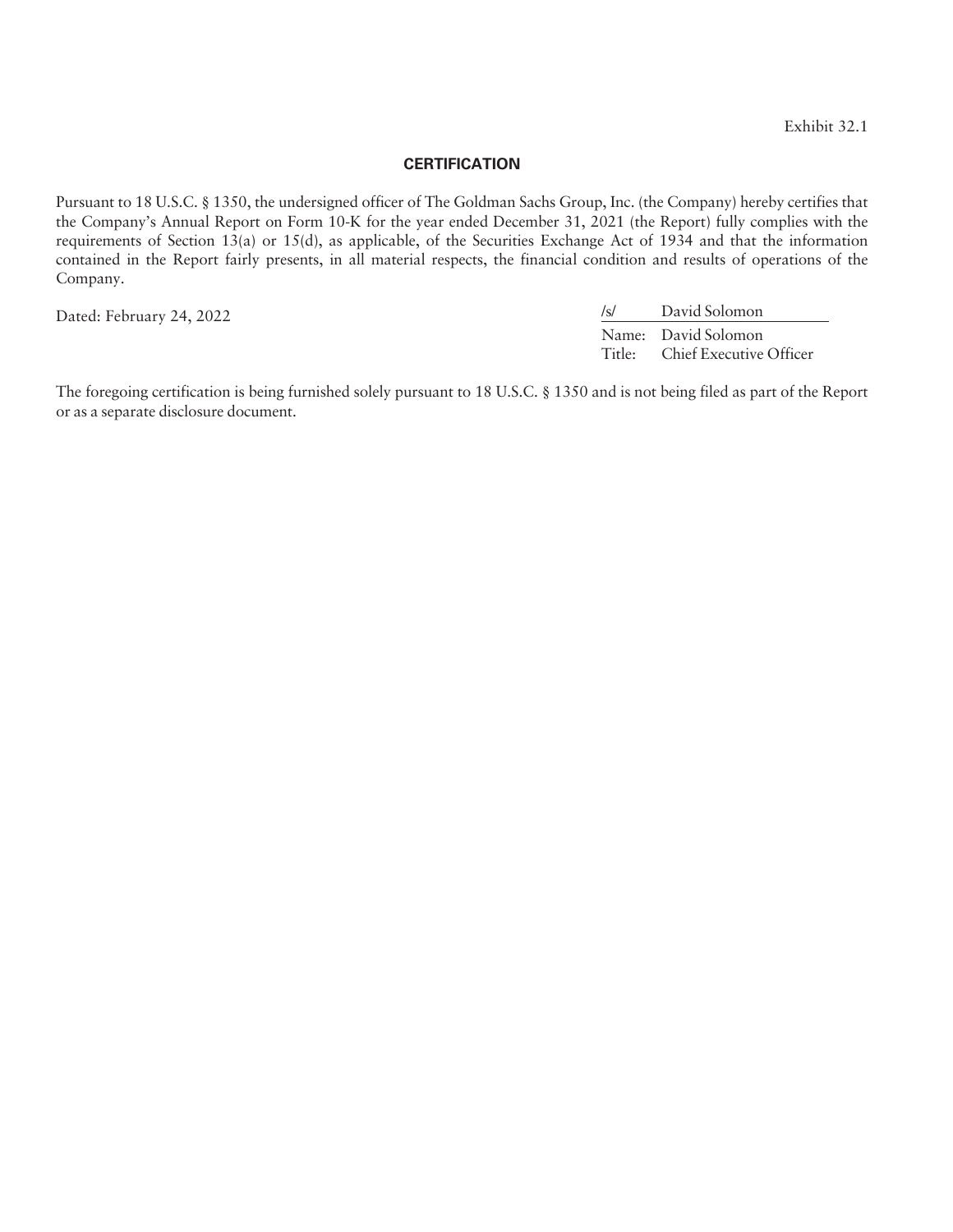Exhibit 32.1

## **CERTIFICATION**

Pursuant to 18 U.S.C. § 1350, the undersigned officer of The Goldman Sachs Group, Inc. (the Company) hereby certifies that the Company's Annual Report on Form 10-K for the year ended December 31, 2021 (the Report) fully complies with the requirements of Section 13(a) or 15(d), as applicable, of the Securities Exchange Act of 1934 and that the information contained in the Report fairly presents, in all material respects, the financial condition and results of operations of the Company.

Dated: February 24, 2022 /s/ David Solomon

Name: David Solomon<br>Title: Chief Executive Chief Executive Officer

The foregoing certification is being furnished solely pursuant to 18 U.S.C. § 1350 and is not being filed as part of the Report or as a separate disclosure document.